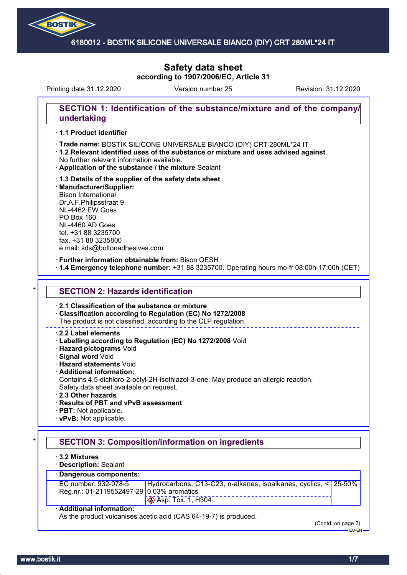

# **Safety data sheet according to 1907/2006/EC, Article 31**

Printing date 31.12.2020 Version number 25 Revision: 31.12.2020

## **SECTION 1: Identification of the substance/mixture and of the company/ undertaking**

### · **1.1 Product identifier**

- · **Trade name: Silicone Universal** BOSTIK SILICONE UNIVERSALE BIANCO (DIY) CRT 280ML\*24 IT
- · **1.2 Relevant identified uses of the substance or mixture and uses advised against** No further relevant information available.
- · **Application of the substance / the mixture** Sealant
- · **1.3 Details of the supplier of the safety data sheet** · **Manufacturer/Supplier:** Bison International Dr.A.F.Philipsstraat 9 NL-4462 EW Goes PO Box 160 NL-4460 AD Goes tel. +31 88 3235700 fax. +31 88 3235800

e mail: sds@boltonadhesives.com

#### · **Further information obtainable from:** Bison QESH

· **1.4 Emergency telephone number:** +31 88 3235700. Operating hours mo-fr 08:00h-17:00h (CET)

### **SECTION 2: Hazards identification**

#### · **2.1 Classification of the substance or mixture**

· **Classification according to Regulation (EC) No 1272/2008**

The product is not classified, according to the CLP regulation.

#### · **2.2 Label elements**

- · **Labelling according to Regulation (EC) No 1272/2008** Void
- · **Hazard pictograms** Void
- · **Signal word** Void
- · **Hazard statements** Void
- · **Additional information:**
- Contains 4,5-dichloro-2-octyl-2H-isothiazol-3-one. May produce an allergic reaction. Safety data sheet available on request.
- · **2.3 Other hazards**
- · **Results of PBT and vPvB assessment**
- · **PBT:** Not applicable.
- · **vPvB:** Not applicable.

## **SECTION 3: Composition/information on ingredients**

- · **3.2 Mixtures**
- · **Description:** Sealant

## · **Dangerous components:**

| EC number: 932-078-5                      | Hydrocarbons, C13-C23, n-alkanes, isoalkanes, cyclics, < 25-50% |  |  |
|-------------------------------------------|-----------------------------------------------------------------|--|--|
| Reg.nr.: 01-2119552497-29 0.03% aromatics |                                                                 |  |  |
|                                           | $\otimes$ Asp. Tox. 1, H304                                     |  |  |

#### · **Additional information:**

As the product vulcanises acetic acid (CAS 64-19-7) is produced.

(Contd. on page 2)

EU-EN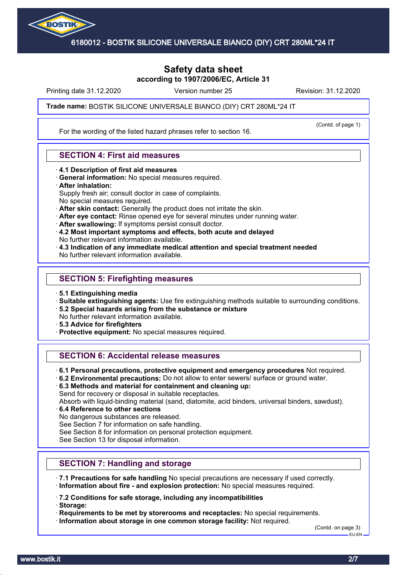

## **Safety data sheet according to 1907/2006/EC, Article 31**

Printing date 31.12.2020 **Revision: 31.12.2020** Version number 25 Revision: 31.12.2020

(Contd. of page 1)

### **Trade name: Silicone Universal** BOSTIK SILICONE UNIVERSALE BIANCO (DIY) CRT 280ML\*24 IT

For the wording of the listed hazard phrases refer to section 16.

### **SECTION 4: First aid measures**

- · **4.1 Description of first aid measures**
- · **General information:** No special measures required.
- · **After inhalation:**

Supply fresh air; consult doctor in case of complaints.

- No special measures required.
- · **After skin contact:** Generally the product does not irritate the skin.
- · **After eye contact:** Rinse opened eye for several minutes under running water.
- · **After swallowing:** If symptoms persist consult doctor.
- · **4.2 Most important symptoms and effects, both acute and delayed** No further relevant information available.
- · **4.3 Indication of any immediate medical attention and special treatment needed** No further relevant information available.

### **SECTION 5: Firefighting measures**

- · **5.1 Extinguishing media**
- · **Suitable extinguishing agents:** Use fire extinguishing methods suitable to surrounding conditions.
- · **5.2 Special hazards arising from the substance or mixture**
- No further relevant information available.
- · **5.3 Advice for firefighters**
- · **Protective equipment:** No special measures required.

## **SECTION 6: Accidental release measures**

- · **6.1 Personal precautions, protective equipment and emergency procedures** Not required.
- · **6.2 Environmental precautions:** Do not allow to enter sewers/ surface or ground water.
- · **6.3 Methods and material for containment and cleaning up:**

Send for recovery or disposal in suitable receptacles.

Absorb with liquid-binding material (sand, diatomite, acid binders, universal binders, sawdust).

- · **6.4 Reference to other sections**
- No dangerous substances are released.

See Section 7 for information on safe handling.

See Section 8 for information on personal protection equipment.

See Section 13 for disposal information.

## **SECTION 7: Handling and storage**

- · **7.1 Precautions for safe handling** No special precautions are necessary if used correctly.
- · **Information about fire and explosion protection:** No special measures required.

· **7.2 Conditions for safe storage, including any incompatibilities**

· **Storage:**

· **Requirements to be met by storerooms and receptacles:** No special requirements.

· **Information about storage in one common storage facility:** Not required.

(Contd. on page 3) EU-EN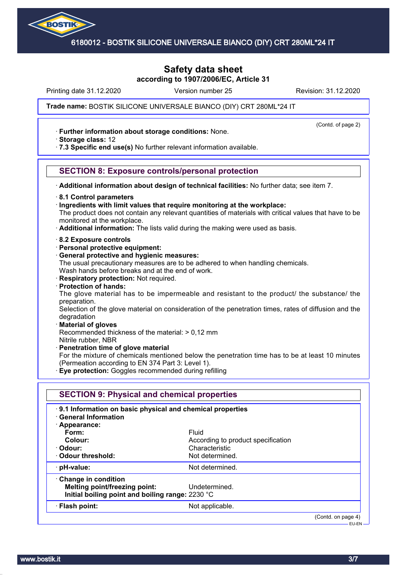

## **Safety data sheet according to 1907/2006/EC, Article 31**

Printing date 31.12.2020 **Revision: 31.12.2020** Version number 25 Revision: 31.12.2020

(Contd. of page 2)

### **Trade name: Silicone Universal** BOSTIK SILICONE UNIVERSALE BIANCO (DIY) CRT 280ML\*24 IT

· **Further information about storage conditions:** None.

· **Storage class:** 12

· **7.3 Specific end use(s)** No further relevant information available.

### **SECTION 8: Exposure controls/personal protection**

· **Additional information about design of technical facilities:** No further data; see item 7.

- · **8.1 Control parameters**
- · **Ingredients with limit values that require monitoring at the workplace:**

The product does not contain any relevant quantities of materials with critical values that have to be monitored at the workplace.

- · **Additional information:** The lists valid during the making were used as basis.
- · **8.2 Exposure controls**
- · **Personal protective equipment:**
- · **General protective and hygienic measures:**

The usual precautionary measures are to be adhered to when handling chemicals. Wash hands before breaks and at the end of work.

- · **Respiratory protection:** Not required.
- · **Protection of hands:**

The glove material has to be impermeable and resistant to the product/ the substance/ the preparation.

Selection of the glove material on consideration of the penetration times, rates of diffusion and the degradation

#### · **Material of gloves**

Recommended thickness of the material: > 0,12 mm

- Nitrile rubber, NBR
- · **Penetration time of glove material**
- For the mixture of chemicals mentioned below the penetration time has to be at least 10 minutes (Permeation according to EN 374 Part 3: Level 1).
- · **Eye protection:** Goggles recommended during refilling

| 9.1 Information on basic physical and chemical properties<br><b>General Information</b> |                                    |  |
|-----------------------------------------------------------------------------------------|------------------------------------|--|
| · Appearance:                                                                           |                                    |  |
| Form:                                                                                   | Fluid                              |  |
| Colour:                                                                                 | According to product specification |  |
| · Odour:                                                                                | Characteristic                     |  |
| Odour threshold:                                                                        | Not determined.                    |  |
| · pH-value:                                                                             | Not determined.                    |  |
| Change in condition                                                                     |                                    |  |
| Melting point/freezing point:                                                           | Undetermined.                      |  |
| Initial boiling point and boiling range: 2230 °C                                        |                                    |  |
| · Flash point:                                                                          | Not applicable.                    |  |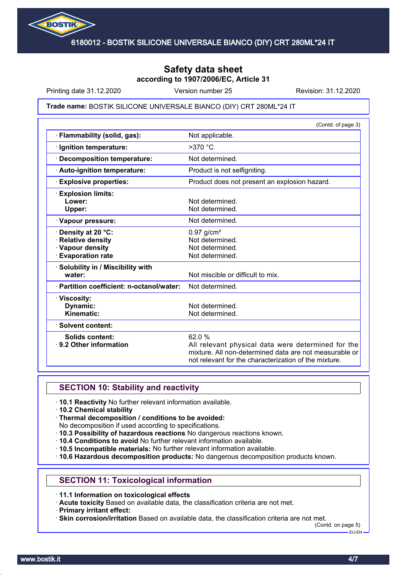

## **Safety data sheet according to 1907/2006/EC, Article 31**

Printing date 31.12.2020 **Revision: 31.12.2020** Version number 25 Revision: 31.12.2020

#### **Trade name: Silicone Universal** BOSTIK SILICONE UNIVERSALE BIANCO (DIY) CRT 280ML\*24 IT

|                                                                                        | (Contd. of page 3)                                                                                                                                                             |
|----------------------------------------------------------------------------------------|--------------------------------------------------------------------------------------------------------------------------------------------------------------------------------|
| Flammability (solid, gas):                                                             | Not applicable.                                                                                                                                                                |
| · Ignition temperature:                                                                | $>370$ °C                                                                                                                                                                      |
| <b>Decomposition temperature:</b>                                                      | Not determined.                                                                                                                                                                |
| · Auto-ignition temperature:                                                           | Product is not selfigniting.                                                                                                                                                   |
| <b>Explosive properties:</b>                                                           | Product does not present an explosion hazard.                                                                                                                                  |
| <b>Explosion limits:</b><br>Lower:<br>Upper:                                           | Not determined.<br>Not determined.                                                                                                                                             |
| · Vapour pressure:                                                                     | Not determined.                                                                                                                                                                |
| Density at 20 °C:<br>· Relative density<br>· Vapour density<br><b>Evaporation rate</b> | $0.97$ g/cm <sup>3</sup><br>Not determined.<br>Not determined.<br>Not determined.                                                                                              |
| · Solubility in / Miscibility with<br>water:                                           | Not miscible or difficult to mix.                                                                                                                                              |
| · Partition coefficient: n-octanol/water:                                              | Not determined.                                                                                                                                                                |
| · Viscosity:<br>Dynamic:<br>Kinematic:                                                 | Not determined.<br>Not determined.                                                                                                                                             |
| · Solvent content:                                                                     |                                                                                                                                                                                |
| <b>Solids content:</b><br>⋅ 9.2 Other information                                      | 62.0%<br>All relevant physical data were determined for the<br>mixture. All non-determined data are not measurable or<br>not relevant for the characterization of the mixture. |

## **SECTION 10: Stability and reactivity**

- · **10.1 Reactivity** No further relevant information available.
- · **10.2 Chemical stability**
- · **Thermal decomposition / conditions to be avoided:**
- No decomposition if used according to specifications.
- · **10.3 Possibility of hazardous reactions** No dangerous reactions known.
- · **10.4 Conditions to avoid** No further relevant information available.
- · **10.5 Incompatible materials:** No further relevant information available.
- · **10.6 Hazardous decomposition products:** No dangerous decomposition products known.

### **SECTION 11: Toxicological information**

· **11.1 Information on toxicological effects**

· **Acute toxicity** Based on available data, the classification criteria are not met.

· **Primary irritant effect:**

· **Skin corrosion/irritation** Based on available data, the classification criteria are not met.

(Contd. on page 5)  $-$ FH-FN-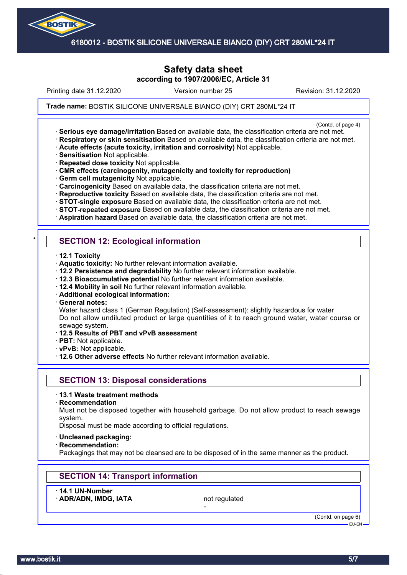

## **Safety data sheet according to 1907/2006/EC, Article 31**

Printing date 31.12.2020 **Revision: 31.12.2020** Version number 25 Revision: 31.12.2020

#### **Trade name: Silicone Universal** BOSTIK SILICONE UNIVERSALE BIANCO (DIY) CRT 280ML\*24 IT

(Contd. of page 4)

- · **Serious eye damage/irritation** Based on available data, the classification criteria are not met. · **Respiratory or skin sensitisation** Based on available data, the classification criteria are not met.
- · **Acute effects (acute toxicity, irritation and corrosivity)** Not applicable.
- · **Sensitisation** Not applicable.
- · **Repeated dose toxicity** Not applicable.
- · **CMR effects (carcinogenity, mutagenicity and toxicity for reproduction)**
- · **Germ cell mutagenicity** Not applicable.
- · **Carcinogenicity** Based on available data, the classification criteria are not met.
- · **Reproductive toxicity** Based on available data, the classification criteria are not met.
- · **STOT-single exposure** Based on available data, the classification criteria are not met.
- · **STOT-repeated exposure** Based on available data, the classification criteria are not met.
- · **Aspiration hazard** Based on available data, the classification criteria are not met.

## **SECTION 12: Ecological information**

- · **12.1 Toxicity**
- · **Aquatic toxicity:** No further relevant information available.
- · **12.2 Persistence and degradability** No further relevant information available.
- · **12.3 Bioaccumulative potential** No further relevant information available.
- · **12.4 Mobility in soil** No further relevant information available.
- · **Additional ecological information:**
- · **General notes:**

Water hazard class 1 (German Regulation) (Self-assessment): slightly hazardous for water Do not allow undiluted product or large quantities of it to reach ground water, water course or sewage system.

- · **12.5 Results of PBT and vPvB assessment**
- · **PBT:** Not applicable.
- · **vPvB:** Not applicable.
- · **12.6 Other adverse effects** No further relevant information available.

### **SECTION 13: Disposal considerations**

- · **13.1 Waste treatment methods**
- · **Recommendation**

Must not be disposed together with household garbage. Do not allow product to reach sewage system.

Disposal must be made according to official regulations.

- · **Uncleaned packaging:**
- · **Recommendation:**

Packagings that may not be cleansed are to be disposed of in the same manner as the product.

## **SECTION 14: Transport information**

· **14.1 UN-Number**

ADR/ADN, IMDG, IATA not regulated

-

(Contd. on page 6) EU-EN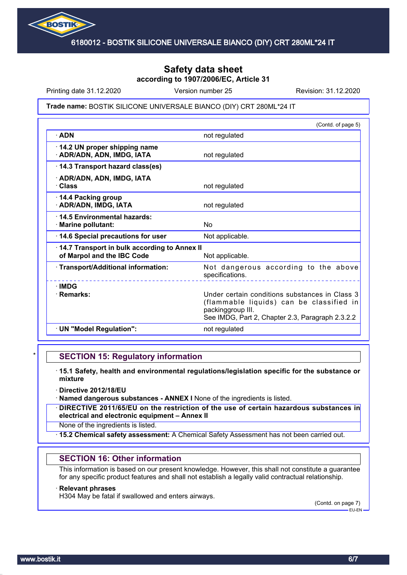

## **Safety data sheet according to 1907/2006/EC, Article 31**

Printing date 31.12.2020 **Revision: 31.12.2020** Version number 25 Revision: 31.12.2020

#### **Trade name: Silicone Universal** BOSTIK SILICONE UNIVERSALE BIANCO (DIY) CRT 280ML\*24 IT

|                                                                            | (Contd. of page 5)                                                                                                                                                  |
|----------------------------------------------------------------------------|---------------------------------------------------------------------------------------------------------------------------------------------------------------------|
| $\cdot$ ADN                                                                | not regulated                                                                                                                                                       |
| · 14.2 UN proper shipping name<br>· ADR/ADN, ADN, IMDG, IATA               | not regulated                                                                                                                                                       |
| 14.3 Transport hazard class(es)                                            |                                                                                                                                                                     |
| · ADR/ADN, ADN, IMDG, IATA<br>· Class                                      | not regulated                                                                                                                                                       |
| 14.4 Packing group<br>· ADR/ADN, IMDG, IATA                                | not regulated                                                                                                                                                       |
| 14.5 Environmental hazards:<br>· Marine pollutant:                         | N <sub>o</sub>                                                                                                                                                      |
| 14.6 Special precautions for user                                          | Not applicable.                                                                                                                                                     |
| 14.7 Transport in bulk according to Annex II<br>of Marpol and the IBC Code | Not applicable.                                                                                                                                                     |
| · Transport/Additional information:                                        | Not dangerous according to the above<br>specifications.                                                                                                             |
| $\cdot$ IMDG<br>· Remarks:                                                 | Under certain conditions substances in Class 3<br>(flammable liquids) can be classified in<br>packinggroup III.<br>See IMDG, Part 2, Chapter 2.3, Paragraph 2.3.2.2 |
| · UN "Model Regulation":                                                   | not regulated                                                                                                                                                       |

### **SECTION 15: Regulatory information**

- · **15.1 Safety, health and environmental regulations/legislation specific for the substance or mixture**
- · **Directive 2012/18/EU**
- · **Named dangerous substances ANNEX I** None of the ingredients is listed.
- · **DIRECTIVE 2011/65/EU on the restriction of the use of certain hazardous substances in electrical and electronic equipment – Annex II**
- None of the ingredients is listed.
- · **15.2 Chemical safety assessment:** A Chemical Safety Assessment has not been carried out.

### **SECTION 16: Other information**

This information is based on our present knowledge. However, this shall not constitute a guarantee for any specific product features and shall not establish a legally valid contractual relationship.

#### · **Relevant phrases**

H304 May be fatal if swallowed and enters airways.

(Contd. on page 7) EU-EN